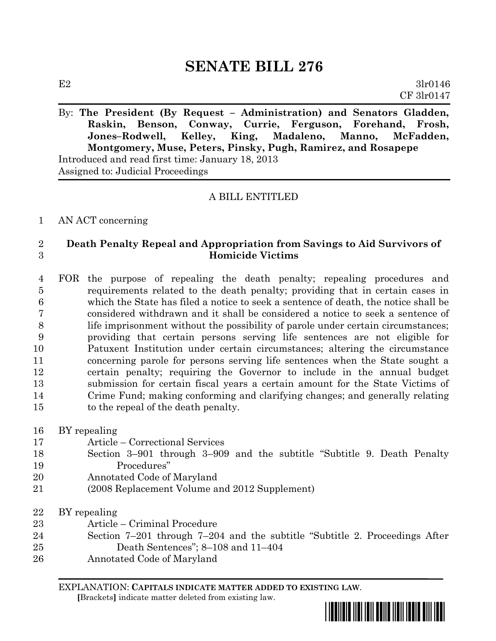By: **The President (By Request – Administration) and Senators Gladden, Raskin, Benson, Conway, Currie, Ferguson, Forehand, Frosh, Jones–Rodwell, Kelley, King, Madaleno, Manno, McFadden, Montgomery, Muse, Peters, Pinsky, Pugh, Ramirez, and Rosapepe** Introduced and read first time: January 18, 2013 Assigned to: Judicial Proceedings

### A BILL ENTITLED

#### AN ACT concerning

### **Death Penalty Repeal and Appropriation from Savings to Aid Survivors of Homicide Victims**

 FOR the purpose of repealing the death penalty; repealing procedures and requirements related to the death penalty; providing that in certain cases in which the State has filed a notice to seek a sentence of death, the notice shall be considered withdrawn and it shall be considered a notice to seek a sentence of life imprisonment without the possibility of parole under certain circumstances; providing that certain persons serving life sentences are not eligible for Patuxent Institution under certain circumstances; altering the circumstance concerning parole for persons serving life sentences when the State sought a certain penalty; requiring the Governor to include in the annual budget submission for certain fiscal years a certain amount for the State Victims of Crime Fund; making conforming and clarifying changes; and generally relating to the repeal of the death penalty.

- BY repealing Article – Correctional Services Section 3–901 through 3–909 and the subtitle "Subtitle 9. Death Penalty Procedures"
- Annotated Code of Maryland
- (2008 Replacement Volume and 2012 Supplement)

 BY repealing Article – Criminal Procedure

- Section 7–201 through 7–204 and the subtitle "Subtitle 2. Proceedings After Death Sentences"; 8–108 and 11–404
- Annotated Code of Maryland

EXPLANATION: **CAPITALS INDICATE MATTER ADDED TO EXISTING LAW**.

 **[**Brackets**]** indicate matter deleted from existing law.

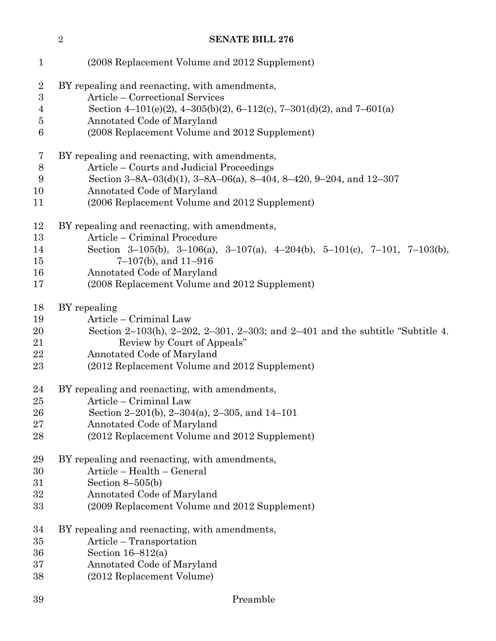| $\mathbf{1}$   | (2008 Replacement Volume and 2012 Supplement)                                  |
|----------------|--------------------------------------------------------------------------------|
| $\overline{2}$ | BY repealing and reenacting, with amendments,                                  |
| 3              | Article – Correctional Services                                                |
| $\overline{4}$ | Section 4–101(e)(2), 4–305(b)(2), 6–112(c), 7–301(d)(2), and 7–601(a)          |
| $\overline{5}$ | Annotated Code of Maryland                                                     |
| $\,6$          | (2008 Replacement Volume and 2012 Supplement)                                  |
| $\overline{7}$ | BY repealing and reenacting, with amendments,                                  |
| $8\,$          | Article – Courts and Judicial Proceedings                                      |
| 9              | Section 3-8A-03(d)(1), 3-8A-06(a), 8-404, 8-420, 9-204, and 12-307             |
| 10             | Annotated Code of Maryland                                                     |
| 11             | (2006 Replacement Volume and 2012 Supplement)                                  |
| 12             | BY repealing and reenacting, with amendments,                                  |
| 13             | Article – Criminal Procedure                                                   |
| 14             | Section 3-105(b), 3-106(a), 3-107(a), 4-204(b), 5-101(c), 7-101, 7-103(b),     |
| 15             | $7-107(b)$ , and $11-916$                                                      |
| 16             | Annotated Code of Maryland                                                     |
| 17             | (2008 Replacement Volume and 2012 Supplement)                                  |
| 18             | BY repealing                                                                   |
| 19             | Article - Criminal Law                                                         |
| 20             | Section 2-103(h), 2-202, 2-301, 2-303; and 2-401 and the subtitle "Subtitle 4. |
| 21             | Review by Court of Appeals"                                                    |
| 22             | Annotated Code of Maryland                                                     |
| 23             | (2012 Replacement Volume and 2012 Supplement)                                  |
| 24             | BY repealing and reenacting, with amendments,                                  |
| 25             | Article – Criminal Law                                                         |
| 26             | Section 2–201(b), 2–304(a), 2–305, and $14-101$                                |
| 27             | Annotated Code of Maryland                                                     |
| 28             | (2012 Replacement Volume and 2012 Supplement)                                  |
| 29             | BY repealing and reenacting, with amendments,                                  |
| 30             | Article - Health - General                                                     |
| 31             | Section $8-505(b)$                                                             |
| 32             | Annotated Code of Maryland                                                     |
| 33             | (2009 Replacement Volume and 2012 Supplement)                                  |
| 34             | BY repealing and reenacting, with amendments,                                  |
| 35             | Article – Transportation                                                       |
| 36             | Section $16-812(a)$                                                            |
| 37             | Annotated Code of Maryland                                                     |
| 38             | (2012 Replacement Volume)                                                      |
| 39             | Preamble                                                                       |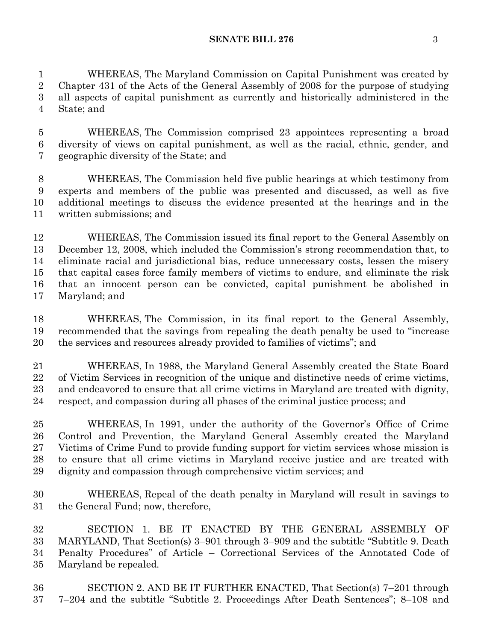WHEREAS, The Maryland Commission on Capital Punishment was created by Chapter 431 of the Acts of the General Assembly of 2008 for the purpose of studying all aspects of capital punishment as currently and historically administered in the State; and

 WHEREAS, The Commission comprised 23 appointees representing a broad diversity of views on capital punishment, as well as the racial, ethnic, gender, and geographic diversity of the State; and

 WHEREAS, The Commission held five public hearings at which testimony from experts and members of the public was presented and discussed, as well as five additional meetings to discuss the evidence presented at the hearings and in the written submissions; and

 WHEREAS, The Commission issued its final report to the General Assembly on December 12, 2008, which included the Commission's strong recommendation that, to eliminate racial and jurisdictional bias, reduce unnecessary costs, lessen the misery that capital cases force family members of victims to endure, and eliminate the risk that an innocent person can be convicted, capital punishment be abolished in Maryland; and

 WHEREAS, The Commission, in its final report to the General Assembly, recommended that the savings from repealing the death penalty be used to "increase the services and resources already provided to families of victims"; and

 WHEREAS, In 1988, the Maryland General Assembly created the State Board of Victim Services in recognition of the unique and distinctive needs of crime victims, and endeavored to ensure that all crime victims in Maryland are treated with dignity, respect, and compassion during all phases of the criminal justice process; and

 WHEREAS, In 1991, under the authority of the Governor's Office of Crime Control and Prevention, the Maryland General Assembly created the Maryland Victims of Crime Fund to provide funding support for victim services whose mission is to ensure that all crime victims in Maryland receive justice and are treated with dignity and compassion through comprehensive victim services; and

 WHEREAS, Repeal of the death penalty in Maryland will result in savings to the General Fund; now, therefore,

 SECTION 1. BE IT ENACTED BY THE GENERAL ASSEMBLY OF MARYLAND, That Section(s) 3–901 through 3–909 and the subtitle "Subtitle 9. Death Penalty Procedures" of Article – Correctional Services of the Annotated Code of Maryland be repealed.

 SECTION 2. AND BE IT FURTHER ENACTED, That Section(s) 7–201 through 7–204 and the subtitle "Subtitle 2. Proceedings After Death Sentences"; 8–108 and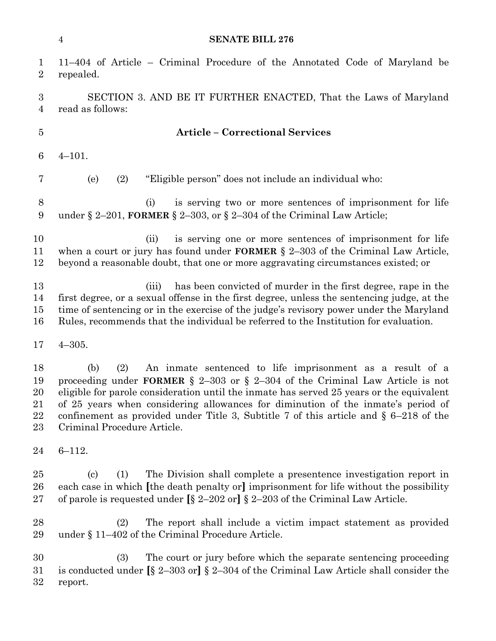| <b>SENATE BILL 276</b> |  |
|------------------------|--|
|                        |  |

| $\mathbf{1}$<br>$\overline{2}$       | 11-404 of Article - Criminal Procedure of the Annotated Code of Maryland be<br>repealed.                                                                                                                                                                                                                                                                                                                                                                                 |  |  |  |  |  |
|--------------------------------------|--------------------------------------------------------------------------------------------------------------------------------------------------------------------------------------------------------------------------------------------------------------------------------------------------------------------------------------------------------------------------------------------------------------------------------------------------------------------------|--|--|--|--|--|
| $\boldsymbol{3}$<br>4                | SECTION 3. AND BE IT FURTHER ENACTED, That the Laws of Maryland<br>read as follows:                                                                                                                                                                                                                                                                                                                                                                                      |  |  |  |  |  |
| $\overline{5}$                       | <b>Article - Correctional Services</b>                                                                                                                                                                                                                                                                                                                                                                                                                                   |  |  |  |  |  |
| 6                                    | $4 - 101.$                                                                                                                                                                                                                                                                                                                                                                                                                                                               |  |  |  |  |  |
| 7                                    | "Eligible person" does not include an individual who:<br>(e)<br>(2)                                                                                                                                                                                                                                                                                                                                                                                                      |  |  |  |  |  |
| 8<br>9                               | is serving two or more sentences of imprisonment for life<br>(i)<br>under § 2-201, FORMER § 2-303, or § 2-304 of the Criminal Law Article;                                                                                                                                                                                                                                                                                                                               |  |  |  |  |  |
| 10<br>11<br>12                       | is serving one or more sentences of imprisonment for life<br>(ii)<br>when a court or jury has found under <b>FORMER</b> $\S$ 2-303 of the Criminal Law Article,<br>beyond a reasonable doubt, that one or more aggravating circumstances existed; or                                                                                                                                                                                                                     |  |  |  |  |  |
| 13<br>14<br>15<br>16                 | has been convicted of murder in the first degree, rape in the<br>(iii)<br>first degree, or a sexual offense in the first degree, unless the sentencing judge, at the<br>time of sentencing or in the exercise of the judge's revisory power under the Maryland<br>Rules, recommends that the individual be referred to the Institution for evaluation.                                                                                                                   |  |  |  |  |  |
| 17                                   | $4 - 305.$                                                                                                                                                                                                                                                                                                                                                                                                                                                               |  |  |  |  |  |
| 18<br>19<br>20<br>21<br>22<br>$23\,$ | An inmate sentenced to life imprisonment as a result of a<br>(b)<br>(2)<br>proceeding under FORMER $\S$ 2-303 or $\S$ 2-304 of the Criminal Law Article is not<br>eligible for parole consideration until the inmate has served 25 years or the equivalent<br>of 25 years when considering allowances for diminution of the inmate's period of<br>confinement as provided under Title 3, Subtitle 7 of this article and $\S$ 6-218 of the<br>Criminal Procedure Article. |  |  |  |  |  |
| 24                                   | $6 - 112.$                                                                                                                                                                                                                                                                                                                                                                                                                                                               |  |  |  |  |  |
| 25<br>26<br>$27\,$                   | The Division shall complete a presentence investigation report in<br>$\left( \mathrm{c}\right)$<br>(1)<br>each case in which [the death penalty or] imprisonment for life without the possibility<br>of parole is requested under $[\S 2-202 \text{ or}] \S 2-203$ of the Criminal Law Article.                                                                                                                                                                          |  |  |  |  |  |
| 28<br>29                             | The report shall include a victim impact statement as provided<br>(2)<br>under $\S$ 11-402 of the Criminal Procedure Article.                                                                                                                                                                                                                                                                                                                                            |  |  |  |  |  |
| 30<br>$31\,$<br>$32\,$               | (3)<br>The court or jury before which the separate sentencing proceeding<br>is conducted under $\S$ 2–303 or] $\S$ 2–304 of the Criminal Law Article shall consider the<br>report.                                                                                                                                                                                                                                                                                       |  |  |  |  |  |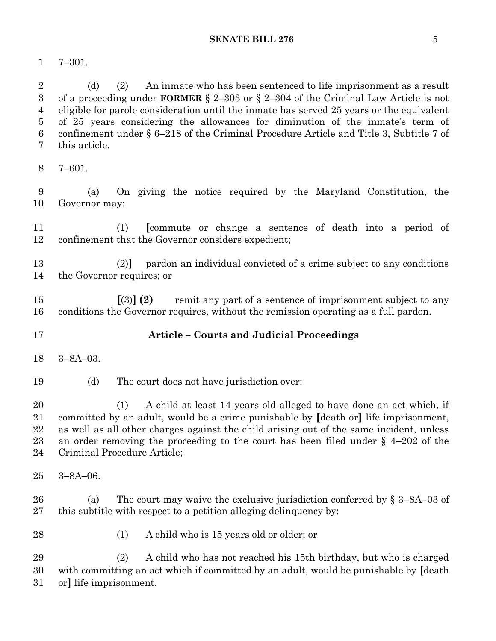7–301.

 (d) (2) An inmate who has been sentenced to life imprisonment as a result of a proceeding under **FORMER** § 2–303 or § 2–304 of the Criminal Law Article is not eligible for parole consideration until the inmate has served 25 years or the equivalent of 25 years considering the allowances for diminution of the inmate's term of confinement under § 6–218 of the Criminal Procedure Article and Title 3, Subtitle 7 of this article.

7–601.

 (a) On giving the notice required by the Maryland Constitution, the Governor may:

 (1) **[**commute or change a sentence of death into a period of confinement that the Governor considers expedient;

 (2)**]** pardon an individual convicted of a crime subject to any conditions the Governor requires; or

 **[**(3)**] (2)** remit any part of a sentence of imprisonment subject to any conditions the Governor requires, without the remission operating as a full pardon.

- **Article – Courts and Judicial Proceedings**
- 3–8A–03.
- (d) The court does not have jurisdiction over:

 (1) A child at least 14 years old alleged to have done an act which, if committed by an adult, would be a crime punishable by **[**death or**]** life imprisonment, as well as all other charges against the child arising out of the same incident, unless an order removing the proceeding to the court has been filed under § 4–202 of the Criminal Procedure Article;

3–8A–06.

 (a) The court may waive the exclusive jurisdiction conferred by § 3–8A–03 of this subtitle with respect to a petition alleging delinquency by:

- 
- (1) A child who is 15 years old or older; or

 (2) A child who has not reached his 15th birthday, but who is charged with committing an act which if committed by an adult, would be punishable by **[**death or**]** life imprisonment.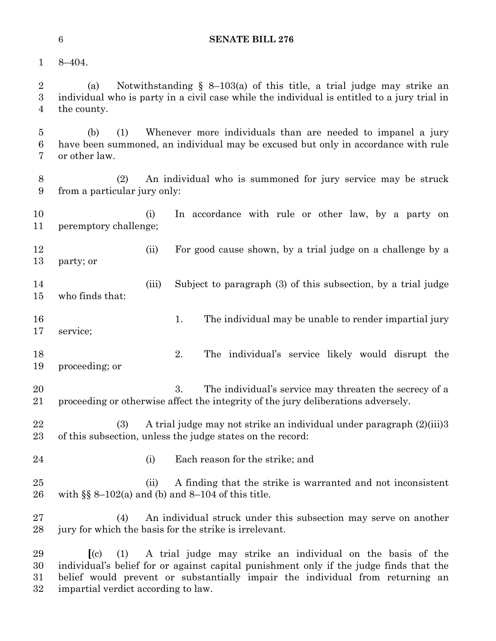8–404.

 (a) Notwithstanding § 8–103(a) of this title, a trial judge may strike an individual who is party in a civil case while the individual is entitled to a jury trial in the county.

 (b) (1) Whenever more individuals than are needed to impanel a jury have been summoned, an individual may be excused but only in accordance with rule or other law.

 (2) An individual who is summoned for jury service may be struck from a particular jury only:

 (i) In accordance with rule or other law, by a party on peremptory challenge;

 (ii) For good cause shown, by a trial judge on a challenge by a party; or

- (iii) Subject to paragraph (3) of this subsection, by a trial judge who finds that:
- 16 16 1. The individual may be unable to render impartial jury

service;

- 2. The individual's service likely would disrupt the proceeding; or
- 3. The individual's service may threaten the secrecy of a proceeding or otherwise affect the integrity of the jury deliberations adversely.
- (3) A trial judge may not strike an individual under paragraph (2)(iii)3 of this subsection, unless the judge states on the record:
- 
- (i) Each reason for the strike; and
- (ii) A finding that the strike is warranted and not inconsistent 26 with  $\S$  8  $-102$ (a) and (b) and 8-104 of this title.
- (4) An individual struck under this subsection may serve on another jury for which the basis for the strike is irrelevant.

 **[**(c) (1) A trial judge may strike an individual on the basis of the individual's belief for or against capital punishment only if the judge finds that the belief would prevent or substantially impair the individual from returning an impartial verdict according to law.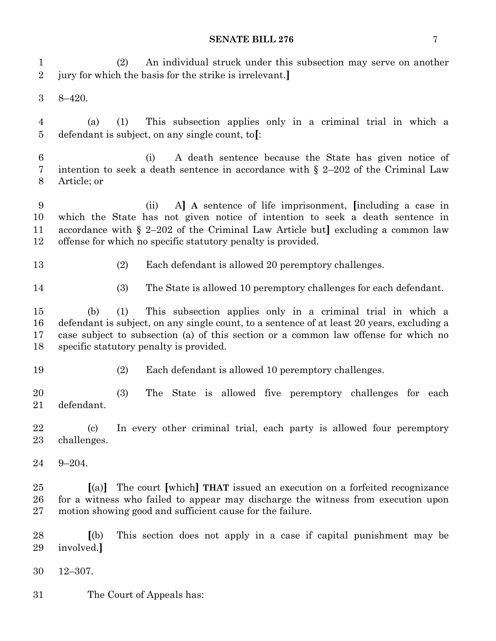(2) An individual struck under this subsection may serve on another jury for which the basis for the strike is irrelevant.**]**

8–420.

 (a) (1) This subsection applies only in a criminal trial in which a defendant is subject, on any single count, to**[**:

 (i) A death sentence because the State has given notice of intention to seek a death sentence in accordance with § 2–202 of the Criminal Law Article; or

 (ii) A**] A** sentence of life imprisonment, **[**including a case in which the State has not given notice of intention to seek a death sentence in accordance with § 2–202 of the Criminal Law Article but**]** excluding a common law offense for which no specific statutory penalty is provided.

- 
- (2) Each defendant is allowed 20 peremptory challenges.
- (3) The State is allowed 10 peremptory challenges for each defendant.

 (b) (1) This subsection applies only in a criminal trial in which a defendant is subject, on any single count, to a sentence of at least 20 years, excluding a case subject to subsection (a) of this section or a common law offense for which no specific statutory penalty is provided.

- 
- (2) Each defendant is allowed 10 peremptory challenges.

 (3) The State is allowed five peremptory challenges for each defendant.

 (c) In every other criminal trial, each party is allowed four peremptory challenges.

9–204.

 **[**(a)**]** The court **[**which**] THAT** issued an execution on a forfeited recognizance for a witness who failed to appear may discharge the witness from execution upon motion showing good and sufficient cause for the failure.

 **[**(b) This section does not apply in a case if capital punishment may be involved.**]**

- 12–307.
- The Court of Appeals has: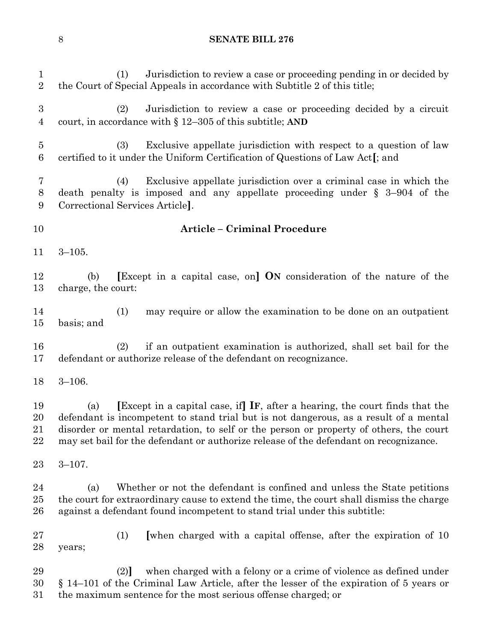| $\mathbf{1}$<br>$\overline{2}$ | Jurisdiction to review a case or proceeding pending in or decided by<br>(1)<br>the Court of Special Appeals in accordance with Subtitle 2 of this title;                                                                                                                                                                                                                  |
|--------------------------------|---------------------------------------------------------------------------------------------------------------------------------------------------------------------------------------------------------------------------------------------------------------------------------------------------------------------------------------------------------------------------|
| 3<br>4                         | Jurisdiction to review a case or proceeding decided by a circuit<br>(2)<br>court, in accordance with $\S 12-305$ of this subtitle; AND                                                                                                                                                                                                                                    |
| $\overline{5}$<br>6            | (3)<br>Exclusive appellate jurisdiction with respect to a question of law<br>certified to it under the Uniform Certification of Questions of Law Act [; and                                                                                                                                                                                                               |
| 7<br>$8\,$<br>9                | Exclusive appellate jurisdiction over a criminal case in which the<br>(4)<br>death penalty is imposed and any appellate proceeding under $\S$ 3-904 of the<br>Correctional Services Article.                                                                                                                                                                              |
| 10                             | <b>Article - Criminal Procedure</b>                                                                                                                                                                                                                                                                                                                                       |
| 11                             | $3 - 105.$                                                                                                                                                                                                                                                                                                                                                                |
| 12<br>13                       | <b>Except</b> in a capital case, on <b>ON</b> consideration of the nature of the<br>(b)<br>charge, the court:                                                                                                                                                                                                                                                             |
| 14<br>15                       | (1)<br>may require or allow the examination to be done on an outpatient<br>basis; and                                                                                                                                                                                                                                                                                     |
| 16<br>17                       | if an outpatient examination is authorized, shall set bail for the<br>(2)<br>defendant or authorize release of the defendant on recognizance.                                                                                                                                                                                                                             |
| 18                             | $3 - 106.$                                                                                                                                                                                                                                                                                                                                                                |
| 19<br>20<br>21<br>22           | Except in a capital case, if $\mathbf{I}$ F, after a hearing, the court finds that the<br>(a)<br>defendant is incompetent to stand trial but is not dangerous, as a result of a mental<br>disorder or mental retardation, to self or the person or property of others, the court<br>may set bail for the defendant or authorize release of the defendant on recognizance. |
| 23                             | $3 - 107$ .                                                                                                                                                                                                                                                                                                                                                               |
| 24<br>25<br>26                 | Whether or not the defendant is confined and unless the State petitions<br>(a)<br>the court for extraordinary cause to extend the time, the court shall dismiss the charge<br>against a defendant found incompetent to stand trial under this subtitle:                                                                                                                   |
| 27<br>28                       | [when charged with a capital offense, after the expiration of 10<br>(1)<br>years;                                                                                                                                                                                                                                                                                         |
| 29<br>30                       | when charged with a felony or a crime of violence as defined under<br>(2)<br>$\S$ 14–101 of the Criminal Law Article, after the lesser of the expiration of 5 years or                                                                                                                                                                                                    |

the maximum sentence for the most serious offense charged; or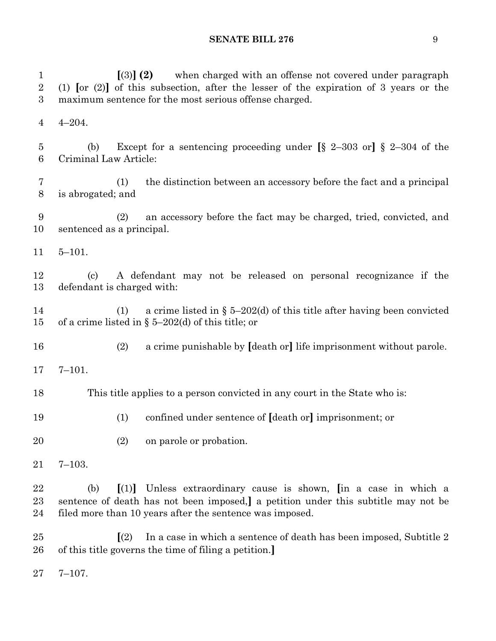| $\mathbf{1}$<br>$\overline{2}$<br>$\boldsymbol{3}$ | $(3)$ (2)<br>when charged with an offense not covered under paragraph<br>(1) $\lbrack 0r(2) \rbrack$ of this subsection, after the lesser of the expiration of 3 years or the<br>maximum sentence for the most serious offense charged. |  |  |  |  |  |  |
|----------------------------------------------------|-----------------------------------------------------------------------------------------------------------------------------------------------------------------------------------------------------------------------------------------|--|--|--|--|--|--|
| $\overline{4}$                                     | $4 - 204.$                                                                                                                                                                                                                              |  |  |  |  |  |  |
| 5<br>$6\phantom{.}6$                               | Except for a sentencing proceeding under $[\S 2-303 \text{ or}]$ $\S 2-304$ of the<br>(b)<br>Criminal Law Article:                                                                                                                      |  |  |  |  |  |  |
| 7<br>8                                             | the distinction between an accessory before the fact and a principal<br>(1)<br>is abrogated; and                                                                                                                                        |  |  |  |  |  |  |
| 9<br>10                                            | an accessory before the fact may be charged, tried, convicted, and<br>(2)<br>sentenced as a principal.                                                                                                                                  |  |  |  |  |  |  |
| 11                                                 | $5 - 101.$                                                                                                                                                                                                                              |  |  |  |  |  |  |
| 12<br>13                                           | A defendant may not be released on personal recognizance if the<br>$\left( \mathrm{c}\right)$<br>defendant is charged with:                                                                                                             |  |  |  |  |  |  |
| 14<br>15                                           | a crime listed in $\S$ 5–202(d) of this title after having been convicted<br>(1)<br>of a crime listed in § 5–202(d) of this title; or                                                                                                   |  |  |  |  |  |  |
| 16                                                 | (2)<br>a crime punishable by [death or] life imprisonment without parole.                                                                                                                                                               |  |  |  |  |  |  |
| 17                                                 | $7 - 101.$                                                                                                                                                                                                                              |  |  |  |  |  |  |
| 18                                                 | This title applies to a person convicted in any court in the State who is:                                                                                                                                                              |  |  |  |  |  |  |
| 19                                                 | confined under sentence of [death or] imprisonment; or<br>(1)                                                                                                                                                                           |  |  |  |  |  |  |
| 20                                                 | (2)<br>on parole or probation.                                                                                                                                                                                                          |  |  |  |  |  |  |
| 21                                                 | $7 - 103.$                                                                                                                                                                                                                              |  |  |  |  |  |  |
| 22<br>23<br>24                                     | Unless extraordinary cause is shown, in a case in which a<br>(b)<br>$\vert(1)\vert$<br>sentence of death has not been imposed, a petition under this subtitle may not be<br>filed more than 10 years after the sentence was imposed.    |  |  |  |  |  |  |
| $25\,$<br>26                                       | In a case in which a sentence of death has been imposed, Subtitle 2<br>$\vert(2)$<br>of this title governs the time of filing a petition.]                                                                                              |  |  |  |  |  |  |

7–107.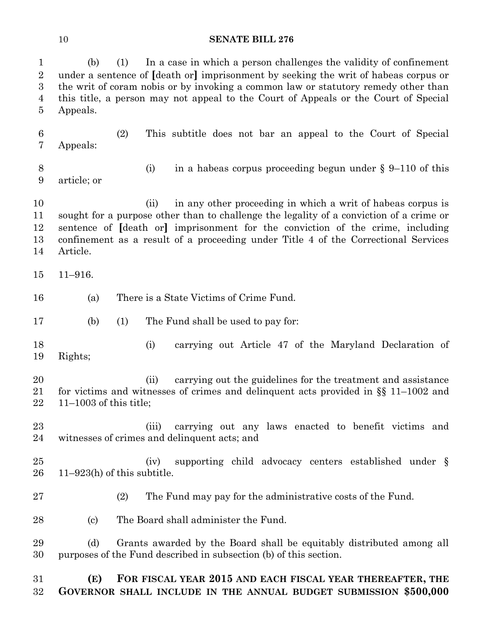| $\mathbf{1}$<br>$\overline{2}$<br>$\boldsymbol{3}$<br>4<br>5 | In a case in which a person challenges the validity of confinement<br>(b)<br>(1)<br>under a sentence of <i>death</i> or imprisonment by seeking the writ of habeas corpus or<br>the writ of coram nobis or by invoking a common law or statutory remedy other than<br>this title, a person may not appeal to the Court of Appeals or the Court of Special<br>Appeals. |  |  |  |  |  |
|--------------------------------------------------------------|-----------------------------------------------------------------------------------------------------------------------------------------------------------------------------------------------------------------------------------------------------------------------------------------------------------------------------------------------------------------------|--|--|--|--|--|
| 6<br>7                                                       | (2)<br>This subtitle does not bar an appeal to the Court of Special<br>Appeals:                                                                                                                                                                                                                                                                                       |  |  |  |  |  |
| 8<br>9                                                       | in a habeas corpus proceeding begun under $\S 9-110$ of this<br>(i)<br>article; or                                                                                                                                                                                                                                                                                    |  |  |  |  |  |
| 10<br>11<br>12<br>13<br>14                                   | in any other proceeding in which a writ of habeas corpus is<br>(ii)<br>sought for a purpose other than to challenge the legality of a conviction of a crime or<br>sentence of [death or] imprisonment for the conviction of the crime, including<br>confinement as a result of a proceeding under Title 4 of the Correctional Services<br>Article.                    |  |  |  |  |  |
| 15                                                           | $11 - 916.$                                                                                                                                                                                                                                                                                                                                                           |  |  |  |  |  |
| 16                                                           | There is a State Victims of Crime Fund.<br>(a)                                                                                                                                                                                                                                                                                                                        |  |  |  |  |  |
| 17                                                           | (b)<br>(1)<br>The Fund shall be used to pay for:                                                                                                                                                                                                                                                                                                                      |  |  |  |  |  |
| 18<br>19                                                     | (i)<br>carrying out Article 47 of the Maryland Declaration of<br>Rights;                                                                                                                                                                                                                                                                                              |  |  |  |  |  |
| 20<br>21<br>22                                               | carrying out the guidelines for the treatment and assistance<br>(ii)<br>for victims and witnesses of crimes and delinquent acts provided in $\S$ 11-1002 and<br>$11-1003$ of this title;                                                                                                                                                                              |  |  |  |  |  |
| 23<br>24                                                     | carrying out any laws enacted to benefit victims and<br>(iii)<br>witnesses of crimes and delinquent acts; and                                                                                                                                                                                                                                                         |  |  |  |  |  |
| $25\,$<br>26                                                 | supporting child advocacy centers established under §<br>(iv)<br>$11-923(h)$ of this subtitle.                                                                                                                                                                                                                                                                        |  |  |  |  |  |
| $27\,$                                                       | The Fund may pay for the administrative costs of the Fund.<br>(2)                                                                                                                                                                                                                                                                                                     |  |  |  |  |  |
| 28                                                           | The Board shall administer the Fund.<br>$\left( \mathrm{c}\right)$                                                                                                                                                                                                                                                                                                    |  |  |  |  |  |
| 29<br>30                                                     | Grants awarded by the Board shall be equitably distributed among all<br>(d)<br>purposes of the Fund described in subsection (b) of this section.                                                                                                                                                                                                                      |  |  |  |  |  |
| 31<br>$32\,$                                                 | (E)<br>FOR FISCAL YEAR 2015 AND EACH FISCAL YEAR THEREAFTER, THE<br>GOVERNOR SHALL INCLUDE IN THE ANNUAL BUDGET SUBMISSION \$500,000                                                                                                                                                                                                                                  |  |  |  |  |  |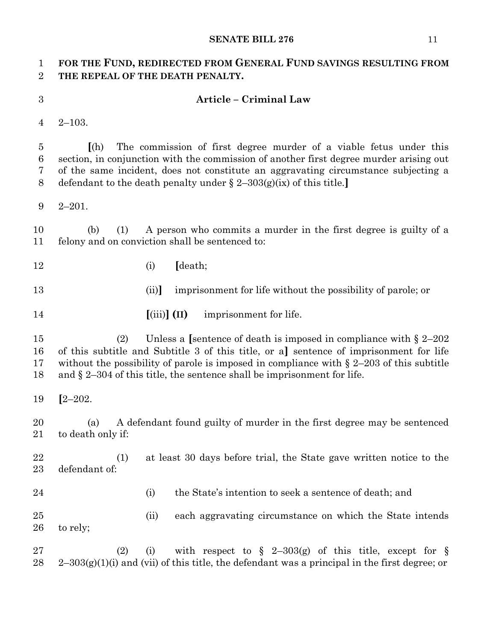## **FOR THE FUND, REDIRECTED FROM GENERAL FUND SAVINGS RESULTING FROM THE REPEAL OF THE DEATH PENALTY.**

### **Article – Criminal Law**

2–103.

 **[**(h) The commission of first degree murder of a viable fetus under this section, in conjunction with the commission of another first degree murder arising out of the same incident, does not constitute an aggravating circumstance subjecting a defendant to the death penalty under § 2–303(g)(ix) of this title.**]**

2–201.

 (b) (1) A person who commits a murder in the first degree is guilty of a felony and on conviction shall be sentenced to:

(i) **[**death;

(ii)**]** imprisonment for life without the possibility of parole; or

**[**(iii)**] (II)** imprisonment for life.

 (2) Unless a **[**sentence of death is imposed in compliance with § 2–202 of this subtitle and Subtitle 3 of this title, or a**]** sentence of imprisonment for life without the possibility of parole is imposed in compliance with § 2–203 of this subtitle and § 2–304 of this title, the sentence shall be imprisonment for life.

**[**2–202.

 (a) A defendant found guilty of murder in the first degree may be sentenced to death only if:

 (1) at least 30 days before trial, the State gave written notice to the defendant of:

(i) the State's intention to seek a sentence of death; and

 (ii) each aggravating circumstance on which the State intends to rely;

27 (2) (i) with respect to  $\S$  2-303(g) of this title, except for  $\S$  $28 \text{ }$  2–303(g)(1)(i) and (vii) of this title, the defendant was a principal in the first degree; or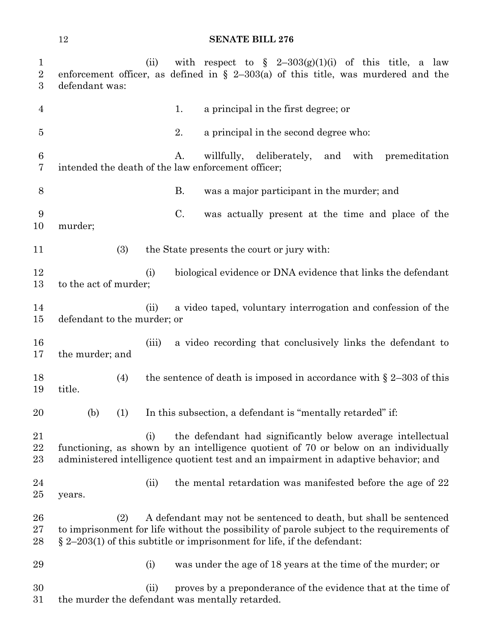| $\mathbf{1}$<br>$\overline{2}$<br>$\boldsymbol{3}$ | defendant was:              | (ii)     | with respect to $\S$ 2-303(g)(1)(i) of this title, a law<br>enforcement officer, as defined in $\S$ 2-303(a) of this title, was murdered and the                                                                                             |
|----------------------------------------------------|-----------------------------|----------|----------------------------------------------------------------------------------------------------------------------------------------------------------------------------------------------------------------------------------------------|
| 4                                                  |                             |          | a principal in the first degree; or<br>1.                                                                                                                                                                                                    |
| $\overline{5}$                                     |                             |          | 2.<br>a principal in the second degree who:                                                                                                                                                                                                  |
| $6\phantom{.}6$<br>7                               |                             |          | willfully, deliberately,<br>A.<br>and with premeditation<br>intended the death of the law enforcement officer;                                                                                                                               |
| $8\,$                                              |                             |          | Β.<br>was a major participant in the murder; and                                                                                                                                                                                             |
| 9<br>10                                            | murder;                     |          | C.<br>was actually present at the time and place of the                                                                                                                                                                                      |
| 11                                                 | (3)                         |          | the State presents the court or jury with:                                                                                                                                                                                                   |
| 12<br>13                                           | to the act of murder;       | (i)      | biological evidence or DNA evidence that links the defendant                                                                                                                                                                                 |
| 14<br>15                                           | defendant to the murder; or | (ii)     | a video taped, voluntary interrogation and confession of the                                                                                                                                                                                 |
| 16<br>17                                           | the murder; and             | (iii)    | a video recording that conclusively links the defendant to                                                                                                                                                                                   |
| 18<br>19                                           | (4)<br>title.               |          | the sentence of death is imposed in accordance with $\S 2-303$ of this                                                                                                                                                                       |
| 20                                                 | (b)<br>(1)                  |          | In this subsection, a defendant is "mentally retarded" if:                                                                                                                                                                                   |
| 21<br>22<br>$23\,$                                 |                             | $\rm(i)$ | the defendant had significantly below average intellectual<br>functioning, as shown by an intelligence quotient of 70 or below on an individually<br>administered intelligence quotient test and an impairment in adaptive behavior; and     |
| 24<br>$25\,$                                       | years.                      | (ii)     | the mental retardation was manifested before the age of 22                                                                                                                                                                                   |
| 26<br>$27\,$<br>28                                 | (2)                         |          | A defendant may not be sentenced to death, but shall be sentenced<br>to imprisonment for life without the possibility of parole subject to the requirements of<br>$\S$ 2–203(1) of this subtitle or imprisonment for life, if the defendant: |
| 29                                                 |                             | (i)      | was under the age of 18 years at the time of the murder; or                                                                                                                                                                                  |
| 30<br>$31\,$                                       |                             | (ii)     | proves by a preponderance of the evidence that at the time of<br>the murder the defendant was mentally retarded.                                                                                                                             |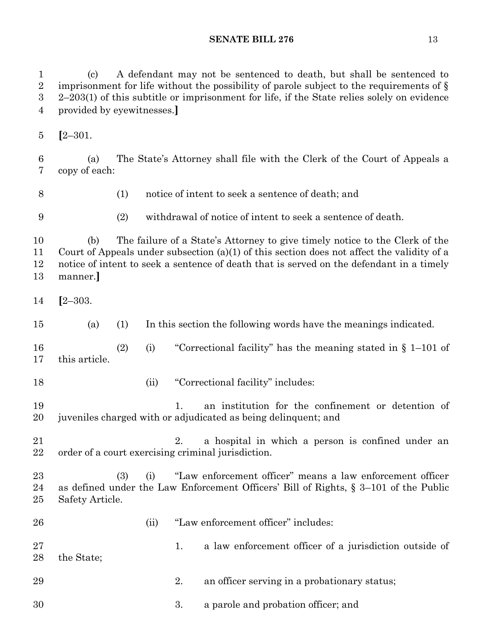(c) A defendant may not be sentenced to death, but shall be sentenced to imprisonment for life without the possibility of parole subject to the requirements of § 2–203(1) of this subtitle or imprisonment for life, if the State relies solely on evidence provided by eyewitnesses.**] [**2–301. (a) The State's Attorney shall file with the Clerk of the Court of Appeals a copy of each: (1) notice of intent to seek a sentence of death; and (2) withdrawal of notice of intent to seek a sentence of death. (b) The failure of a State's Attorney to give timely notice to the Clerk of the Court of Appeals under subsection (a)(1) of this section does not affect the validity of a notice of intent to seek a sentence of death that is served on the defendant in a timely manner.**] [**2–303. (a) (1) In this section the following words have the meanings indicated. (2) (i) "Correctional facility" has the meaning stated in § 1–101 of this article. 18 (ii) "Correctional facility" includes: 1. an institution for the confinement or detention of juveniles charged with or adjudicated as being delinquent; and 2. a hospital in which a person is confined under an order of a court exercising criminal jurisdiction. (3) (i) "Law enforcement officer" means a law enforcement officer as defined under the Law Enforcement Officers' Bill of Rights, § 3–101 of the Public Safety Article. 26 (ii) "Law enforcement officer" includes: 27 1. a law enforcement officer of a jurisdiction outside of the State; 29 2. an officer serving in a probationary status; 3. a parole and probation officer; and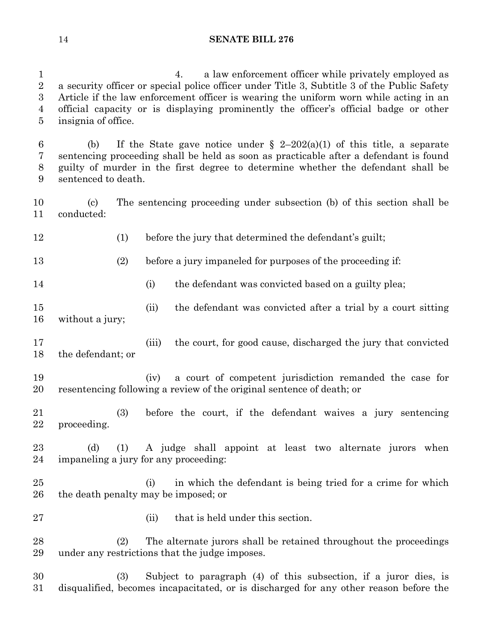4. a law enforcement officer while privately employed as a security officer or special police officer under Title 3, Subtitle 3 of the Public Safety Article if the law enforcement officer is wearing the uniform worn while acting in an official capacity or is displaying prominently the officer's official badge or other insignia of office.

6 (b) If the State gave notice under  $\S$  2-202(a)(1) of this title, a separate sentencing proceeding shall be held as soon as practicable after a defendant is found guilty of murder in the first degree to determine whether the defendant shall be sentenced to death.

 (c) The sentencing proceeding under subsection (b) of this section shall be conducted:

12 (1) before the jury that determined the defendant's guilt;

(2) before a jury impaneled for purposes of the proceeding if:

14 (i) the defendant was convicted based on a guilty plea;

 (ii) the defendant was convicted after a trial by a court sitting without a jury;

 (iii) the court, for good cause, discharged the jury that convicted the defendant; or

 (iv) a court of competent jurisdiction remanded the case for resentencing following a review of the original sentence of death; or

 (3) before the court, if the defendant waives a jury sentencing proceeding.

 (d) (1) A judge shall appoint at least two alternate jurors when impaneling a jury for any proceeding:

 (i) in which the defendant is being tried for a crime for which the death penalty may be imposed; or

27 (ii) that is held under this section.

 (2) The alternate jurors shall be retained throughout the proceedings under any restrictions that the judge imposes.

 (3) Subject to paragraph (4) of this subsection, if a juror dies, is disqualified, becomes incapacitated, or is discharged for any other reason before the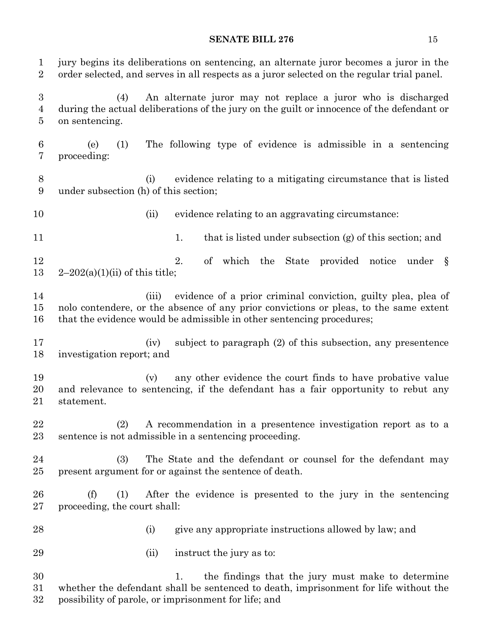jury begins its deliberations on sentencing, an alternate juror becomes a juror in the order selected, and serves in all respects as a juror selected on the regular trial panel. (4) An alternate juror may not replace a juror who is discharged during the actual deliberations of the jury on the guilt or innocence of the defendant or on sentencing. (e) (1) The following type of evidence is admissible in a sentencing proceeding: (i) evidence relating to a mitigating circumstance that is listed under subsection (h) of this section; (ii) evidence relating to an aggravating circumstance: 11 1. that is listed under subsection (g) of this section; and 12 2. of which the State provided notice under §  $2-202(a)(1)(ii)$  of this title; 14 (iii) evidence of a prior criminal conviction, guilty plea, plea of nolo contendere, or the absence of any prior convictions or pleas, to the same extent that the evidence would be admissible in other sentencing procedures; (iv) subject to paragraph (2) of this subsection, any presentence investigation report; and 19 (v) any other evidence the court finds to have probative value and relevance to sentencing, if the defendant has a fair opportunity to rebut any statement. (2) A recommendation in a presentence investigation report as to a sentence is not admissible in a sentencing proceeding. (3) The State and the defendant or counsel for the defendant may present argument for or against the sentence of death. (f) (1) After the evidence is presented to the jury in the sentencing proceeding, the court shall: (i) give any appropriate instructions allowed by law; and 29 (ii) instruct the jury as to: 1. the findings that the jury must make to determine whether the defendant shall be sentenced to death, imprisonment for life without the

possibility of parole, or imprisonment for life; and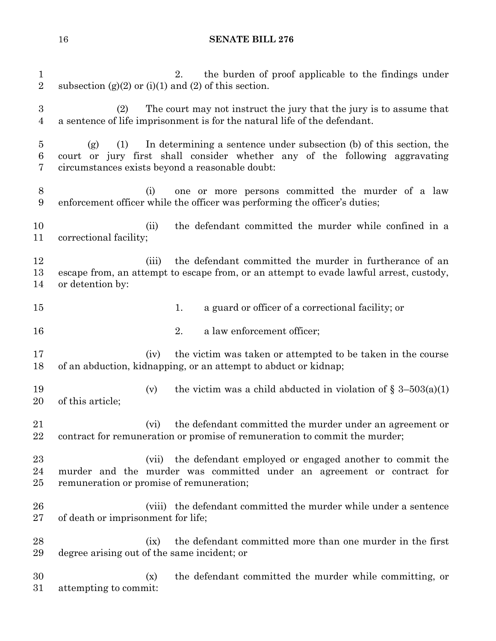| $\mathbf{1}$<br>$\sqrt{2}$   | the burden of proof applicable to the findings under<br>2.<br>subsection $(g)(2)$ or $(i)(1)$ and $(2)$ of this section.                                                                                            |  |  |  |  |  |
|------------------------------|---------------------------------------------------------------------------------------------------------------------------------------------------------------------------------------------------------------------|--|--|--|--|--|
| $\sqrt{3}$<br>$\overline{4}$ | The court may not instruct the jury that the jury is to assume that<br>(2)<br>a sentence of life imprisonment is for the natural life of the defendant.                                                             |  |  |  |  |  |
| $\overline{5}$<br>$\,6$<br>7 | In determining a sentence under subsection (b) of this section, the<br>(1)<br>(g)<br>court or jury first shall consider whether any of the following aggravating<br>circumstances exists beyond a reasonable doubt: |  |  |  |  |  |
| $8\,$<br>$9\,$               | one or more persons committed the murder of a law<br>(i)<br>enforcement officer while the officer was performing the officer's duties;                                                                              |  |  |  |  |  |
| 10<br>11                     | the defendant committed the murder while confined in a<br>(ii)<br>correctional facility;                                                                                                                            |  |  |  |  |  |
| 12<br>13<br>14               | (iii)<br>the defendant committed the murder in furtherance of an<br>escape from, an attempt to escape from, or an attempt to evade lawful arrest, custody,<br>or detention by:                                      |  |  |  |  |  |
| 15                           | a guard or officer of a correctional facility; or<br>1.                                                                                                                                                             |  |  |  |  |  |
| 16                           | a law enforcement officer;<br>2.                                                                                                                                                                                    |  |  |  |  |  |
| 17<br>18                     | the victim was taken or attempted to be taken in the course<br>(iv)<br>of an abduction, kidnapping, or an attempt to abduct or kidnap;                                                                              |  |  |  |  |  |
| 19<br>20                     | the victim was a child abducted in violation of $\S$ 3-503(a)(1)<br>(v)<br>of this article;                                                                                                                         |  |  |  |  |  |
| 21<br>22                     | the defendant committed the murder under an agreement or<br>(vi)<br>contract for remuneration or promise of remuneration to commit the murder;                                                                      |  |  |  |  |  |
| 23<br>24<br>25               | (vii) the defendant employed or engaged another to commit the<br>murder and the murder was committed under an agreement or contract for<br>remuneration or promise of remuneration;                                 |  |  |  |  |  |
| 26<br>27                     | (viii) the defendant committed the murder while under a sentence<br>of death or imprisonment for life;                                                                                                              |  |  |  |  |  |
| 28<br>29                     | the defendant committed more than one murder in the first<br>(ix)<br>degree arising out of the same incident; or                                                                                                    |  |  |  |  |  |
| 30<br>31                     | the defendant committed the murder while committing, or<br>(x)<br>attempting to commit:                                                                                                                             |  |  |  |  |  |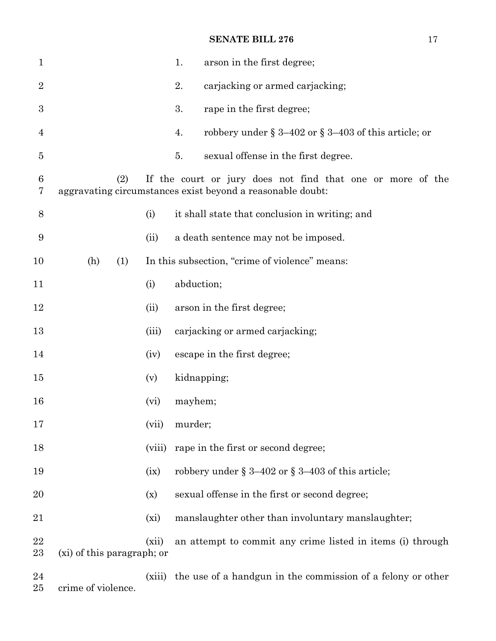| $\mathbf{1}$   |                            |        | 1.<br>arson in the first degree;                                                                                         |  |
|----------------|----------------------------|--------|--------------------------------------------------------------------------------------------------------------------------|--|
| $\overline{2}$ |                            |        | 2.<br>carjacking or armed carjacking;                                                                                    |  |
| 3              |                            |        | 3.<br>rape in the first degree;                                                                                          |  |
| 4              |                            |        | robbery under $\S 3-402$ or $\S 3-403$ of this article; or<br>4.                                                         |  |
| $\overline{5}$ |                            |        | sexual offense in the first degree.<br>5.                                                                                |  |
| 6<br>7         | (2)                        |        | If the court or jury does not find that one or more of the<br>aggravating circumstances exist beyond a reasonable doubt: |  |
| 8              |                            | (i)    | it shall state that conclusion in writing; and                                                                           |  |
| 9              |                            | (ii)   | a death sentence may not be imposed.                                                                                     |  |
| 10             | (h)<br>(1)                 |        | In this subsection, "crime of violence" means:                                                                           |  |
| 11             |                            | (i)    | abduction;                                                                                                               |  |
| 12             |                            | (ii)   | arson in the first degree;                                                                                               |  |
| 13             |                            | (iii)  | carjacking or armed carjacking;                                                                                          |  |
| 14             |                            | (iv)   | escape in the first degree;                                                                                              |  |
| 15             |                            | (v)    | kidnapping;                                                                                                              |  |
| 16             |                            | (vi)   | mayhem;                                                                                                                  |  |
| 17             |                            | (vii)  | murder;                                                                                                                  |  |
| 18             |                            | (viii) | rape in the first or second degree;                                                                                      |  |
| 19             |                            | (ix)   | robbery under § 3-402 or § 3-403 of this article;                                                                        |  |
| 20             |                            | (x)    | sexual offense in the first or second degree;                                                                            |  |
| 21             |                            | (xi)   | manslaughter other than involuntary manslaughter;                                                                        |  |
| 22<br>23       | (xi) of this paragraph; or | (xii)  | an attempt to commit any crime listed in items (i) through                                                               |  |
| 24             |                            | (xiii) | the use of a handgun in the commission of a felony or other                                                              |  |

crime of violence.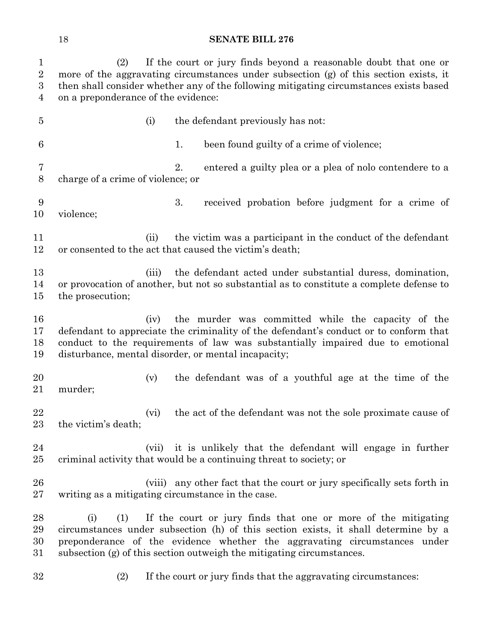| $\mathbf{1}$<br>$\overline{2}$<br>$\boldsymbol{3}$<br>4 | If the court or jury finds beyond a reasonable doubt that one or<br>(2)<br>more of the aggravating circumstances under subsection (g) of this section exists, it<br>then shall consider whether any of the following mitigating circumstances exists based<br>on a preponderance of the evidence: |       |    |                                                                                                                                                                                                                                                                                                           |  |  |
|---------------------------------------------------------|---------------------------------------------------------------------------------------------------------------------------------------------------------------------------------------------------------------------------------------------------------------------------------------------------|-------|----|-----------------------------------------------------------------------------------------------------------------------------------------------------------------------------------------------------------------------------------------------------------------------------------------------------------|--|--|
| $\overline{5}$                                          |                                                                                                                                                                                                                                                                                                   | (i)   |    | the defendant previously has not:                                                                                                                                                                                                                                                                         |  |  |
| 6                                                       |                                                                                                                                                                                                                                                                                                   |       | 1. | been found guilty of a crime of violence;                                                                                                                                                                                                                                                                 |  |  |
| 7<br>8                                                  | charge of a crime of violence; or                                                                                                                                                                                                                                                                 |       | 2. | entered a guilty plea or a plea of nolo contendere to a                                                                                                                                                                                                                                                   |  |  |
| 9<br>10                                                 | violence;                                                                                                                                                                                                                                                                                         |       | 3. | received probation before judgment for a crime of                                                                                                                                                                                                                                                         |  |  |
| 11<br>12                                                |                                                                                                                                                                                                                                                                                                   | (ii)  |    | the victim was a participant in the conduct of the defendant<br>or consented to the act that caused the victim's death;                                                                                                                                                                                   |  |  |
| 13<br>14<br>15                                          | the prosecution;                                                                                                                                                                                                                                                                                  | (iii) |    | the defendant acted under substantial duress, domination,<br>or provocation of another, but not so substantial as to constitute a complete defense to                                                                                                                                                     |  |  |
| 16<br>17<br>18<br>19                                    |                                                                                                                                                                                                                                                                                                   | (iv)  |    | the murder was committed while the capacity of the<br>defendant to appreciate the criminality of the defendant's conduct or to conform that<br>conduct to the requirements of law was substantially impaired due to emotional<br>disturbance, mental disorder, or mental incapacity;                      |  |  |
| 20<br>21                                                | murder;                                                                                                                                                                                                                                                                                           | (v)   |    | the defendant was of a youthful age at the time of the                                                                                                                                                                                                                                                    |  |  |
| 22<br>$23\,$                                            | the victim's death;                                                                                                                                                                                                                                                                               | (vi)  |    | the act of the defendant was not the sole proximate cause of                                                                                                                                                                                                                                              |  |  |
| 24<br>25                                                |                                                                                                                                                                                                                                                                                                   | (vii) |    | it is unlikely that the defendant will engage in further<br>criminal activity that would be a continuing threat to society; or                                                                                                                                                                            |  |  |
| 26<br>$27\,$                                            | writing as a mitigating circumstance in the case.                                                                                                                                                                                                                                                 |       |    | (viii) any other fact that the court or jury specifically sets forth in                                                                                                                                                                                                                                   |  |  |
| 28<br>29<br>30<br>31                                    | (1)<br>(i)                                                                                                                                                                                                                                                                                        |       |    | If the court or jury finds that one or more of the mitigating<br>circumstances under subsection (h) of this section exists, it shall determine by a<br>preponderance of the evidence whether the aggravating circumstances under<br>subsection (g) of this section outweigh the mitigating circumstances. |  |  |
| 32                                                      | (2)                                                                                                                                                                                                                                                                                               |       |    | If the court or jury finds that the aggravating circumstances:                                                                                                                                                                                                                                            |  |  |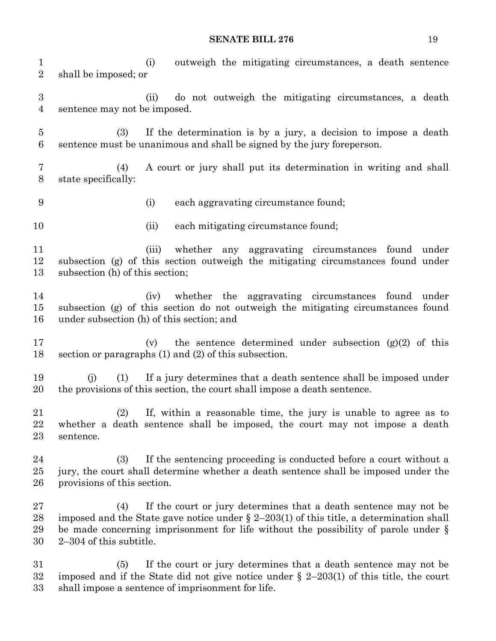(i) outweigh the mitigating circumstances, a death sentence shall be imposed; or (ii) do not outweigh the mitigating circumstances, a death sentence may not be imposed. (3) If the determination is by a jury, a decision to impose a death sentence must be unanimous and shall be signed by the jury foreperson. (4) A court or jury shall put its determination in writing and shall state specifically: (i) each aggravating circumstance found; 10 (ii) each mitigating circumstance found; (iii) whether any aggravating circumstances found under subsection (g) of this section outweigh the mitigating circumstances found under subsection (h) of this section; (iv) whether the aggravating circumstances found under subsection (g) of this section do not outweigh the mitigating circumstances found under subsection (h) of this section; and (v) the sentence determined under subsection (g)(2) of this section or paragraphs (1) and (2) of this subsection. (j) (1) If a jury determines that a death sentence shall be imposed under the provisions of this section, the court shall impose a death sentence. (2) If, within a reasonable time, the jury is unable to agree as to whether a death sentence shall be imposed, the court may not impose a death sentence. (3) If the sentencing proceeding is conducted before a court without a jury, the court shall determine whether a death sentence shall be imposed under the provisions of this section. (4) If the court or jury determines that a death sentence may not be 28 imposed and the State gave notice under  $\S 2-203(1)$  of this title, a determination shall be made concerning imprisonment for life without the possibility of parole under § 2–304 of this subtitle. (5) If the court or jury determines that a death sentence may not be imposed and if the State did not give notice under § 2–203(1) of this title, the court

shall impose a sentence of imprisonment for life.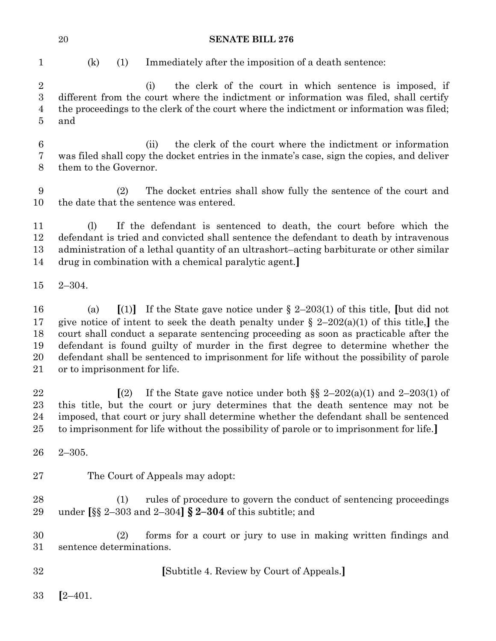| <b>SENATE BILL 276</b> |
|------------------------|
|                        |

| I<br>×<br>۰, |
|--------------|

 $(k)$  (1) Immediately after the imposition of a death sentence:

 (i) the clerk of the court in which sentence is imposed, if different from the court where the indictment or information was filed, shall certify the proceedings to the clerk of the court where the indictment or information was filed; and

 (ii) the clerk of the court where the indictment or information was filed shall copy the docket entries in the inmate's case, sign the copies, and deliver them to the Governor.

 (2) The docket entries shall show fully the sentence of the court and the date that the sentence was entered.

 (l) If the defendant is sentenced to death, the court before which the defendant is tried and convicted shall sentence the defendant to death by intravenous administration of a lethal quantity of an ultrashort–acting barbiturate or other similar drug in combination with a chemical paralytic agent.**]**

2–304.

 (a) **[**(1)**]** If the State gave notice under § 2–203(1) of this title, **[**but did not give notice of intent to seek the death penalty under § 2–202(a)(1) of this title,**]** the court shall conduct a separate sentencing proceeding as soon as practicable after the defendant is found guilty of murder in the first degree to determine whether the defendant shall be sentenced to imprisonment for life without the possibility of parole or to imprisonment for life.

 $\left[$  (2) If the State gave notice under both §§ 2–202(a)(1) and 2–203(1) of this title, but the court or jury determines that the death sentence may not be imposed, that court or jury shall determine whether the defendant shall be sentenced to imprisonment for life without the possibility of parole or to imprisonment for life.**]**

- 2–305.
- The Court of Appeals may adopt:

 (1) rules of procedure to govern the conduct of sentencing proceedings under **[**§§ 2–303 and 2–304**] § 2–304** of this subtitle; and

 (2) forms for a court or jury to use in making written findings and sentence determinations.

**[**Subtitle 4. Review by Court of Appeals.**]**

**[**2–401.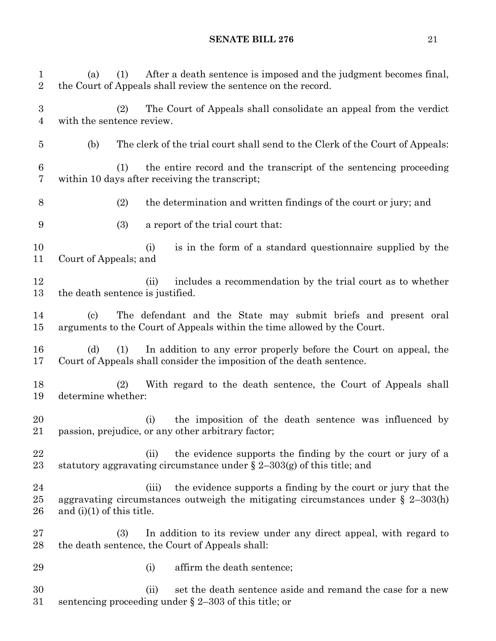(a) (1) After a death sentence is imposed and the judgment becomes final, the Court of Appeals shall review the sentence on the record. (2) The Court of Appeals shall consolidate an appeal from the verdict with the sentence review. (b) The clerk of the trial court shall send to the Clerk of the Court of Appeals: (1) the entire record and the transcript of the sentencing proceeding within 10 days after receiving the transcript; (2) the determination and written findings of the court or jury; and (3) a report of the trial court that: 10 (i) is in the form of a standard questionnaire supplied by the Court of Appeals; and 12 (ii) includes a recommendation by the trial court as to whether the death sentence is justified. (c) The defendant and the State may submit briefs and present oral arguments to the Court of Appeals within the time allowed by the Court. (d) (1) In addition to any error properly before the Court on appeal, the Court of Appeals shall consider the imposition of the death sentence. (2) With regard to the death sentence, the Court of Appeals shall determine whether: (i) the imposition of the death sentence was influenced by passion, prejudice, or any other arbitrary factor; 22 (ii) the evidence supports the finding by the court or jury of a 23 statutory aggravating circumstance under  $\S 2-303(g)$  of this title; and (iii) the evidence supports a finding by the court or jury that the aggravating circumstances outweigh the mitigating circumstances under § 2–303(h) 26 and  $(i)(1)$  of this title. (3) In addition to its review under any direct appeal, with regard to the death sentence, the Court of Appeals shall: 29 (i) affirm the death sentence; 30 (ii) set the death sentence aside and remand the case for a new sentencing proceeding under § 2–303 of this title; or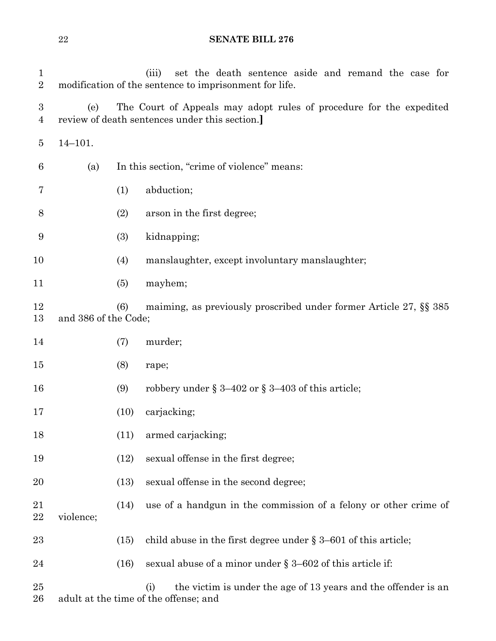| $\mathbf{1}$<br>$\overline{2}$ |                      |      | set the death sentence aside and remand the case for<br>(iii)<br>modification of the sentence to imprisonment for life. |
|--------------------------------|----------------------|------|-------------------------------------------------------------------------------------------------------------------------|
| 3<br>4                         | (e)                  |      | The Court of Appeals may adopt rules of procedure for the expedited<br>review of death sentences under this section.    |
| 5                              | $14 - 101.$          |      |                                                                                                                         |
| 6                              | (a)                  |      | In this section, "crime of violence" means:                                                                             |
| 7                              |                      | (1)  | abduction;                                                                                                              |
| 8                              |                      | (2)  | arson in the first degree;                                                                                              |
| 9                              |                      | (3)  | kidnapping;                                                                                                             |
| 10                             |                      | (4)  | manslaughter, except involuntary manslaughter;                                                                          |
| 11                             |                      | (5)  | mayhem;                                                                                                                 |
| 12<br>13                       | and 386 of the Code; | (6)  | maiming, as previously proscribed under former Article 27, §§ 385                                                       |
| 14                             |                      | (7)  | murder;                                                                                                                 |
| 15                             |                      | (8)  | rape;                                                                                                                   |
| 16                             |                      | (9)  | robbery under § 3-402 or § 3-403 of this article;                                                                       |
| 17                             |                      | (10) | carjacking;                                                                                                             |
| 18                             |                      | (11) | armed carjacking;                                                                                                       |
| 19                             |                      | (12) | sexual offense in the first degree;                                                                                     |
| 20                             |                      | (13) | sexual offense in the second degree;                                                                                    |
| 21<br>22                       | violence;            | (14) | use of a handgun in the commission of a felony or other crime of                                                        |
| 23                             |                      | (15) | child abuse in the first degree under $\S 3-601$ of this article;                                                       |
| 24                             |                      | (16) | sexual abuse of a minor under $\S 3-602$ of this article if:                                                            |
| $25\,$<br>26                   |                      |      | the victim is under the age of 13 years and the offender is an<br>(i)<br>adult at the time of the offense; and          |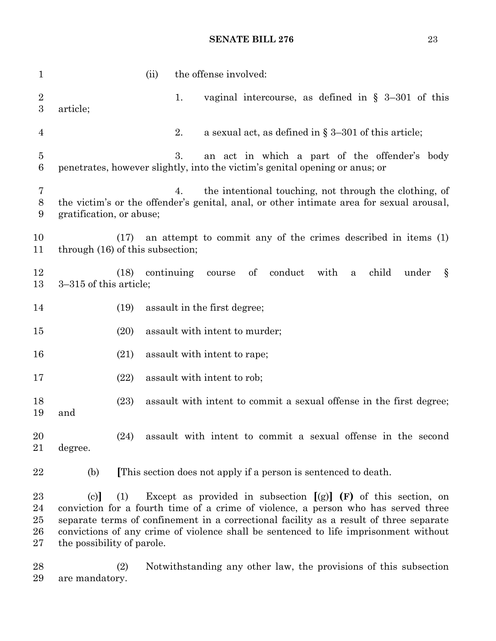| $\mathbf{1}$               |                                                                                                                                                                                                                                                                                                           |      | (ii)       |    | the offense involved:                                               |            |         |      |              |       |       |   |
|----------------------------|-----------------------------------------------------------------------------------------------------------------------------------------------------------------------------------------------------------------------------------------------------------------------------------------------------------|------|------------|----|---------------------------------------------------------------------|------------|---------|------|--------------|-------|-------|---|
| $\boldsymbol{2}$<br>3      | article;                                                                                                                                                                                                                                                                                                  |      |            | 1. | vaginal intercourse, as defined in $\S$ 3-301 of this               |            |         |      |              |       |       |   |
| 4                          |                                                                                                                                                                                                                                                                                                           |      |            | 2. | a sexual act, as defined in $\S 3-301$ of this article;             |            |         |      |              |       |       |   |
| $\overline{5}$<br>6        | penetrates, however slightly, into the victim's genital opening or anus; or                                                                                                                                                                                                                               |      |            | 3. | an act in which a part of the offender's body                       |            |         |      |              |       |       |   |
| 7<br>8<br>9                | the victim's or the offender's genital, anal, or other intimate area for sexual arousal,<br>gratification, or abuse;                                                                                                                                                                                      |      |            | 4. | the intentional touching, not through the clothing, of              |            |         |      |              |       |       |   |
| 10<br>11                   | through (16) of this subsection;                                                                                                                                                                                                                                                                          | (17) |            |    | an attempt to commit any of the crimes described in items (1)       |            |         |      |              |       |       |   |
| 12<br>13                   | 3-315 of this article;                                                                                                                                                                                                                                                                                    | (18) | continuing |    | course                                                              | $\sigma f$ | conduct | with | $\mathbf{a}$ | child | under | Ş |
| 14                         |                                                                                                                                                                                                                                                                                                           | (19) |            |    | assault in the first degree;                                        |            |         |      |              |       |       |   |
| 15                         |                                                                                                                                                                                                                                                                                                           | (20) |            |    | assault with intent to murder;                                      |            |         |      |              |       |       |   |
| 16                         |                                                                                                                                                                                                                                                                                                           | (21) |            |    | assault with intent to rape;                                        |            |         |      |              |       |       |   |
| 17                         |                                                                                                                                                                                                                                                                                                           | (22) |            |    | assault with intent to rob;                                         |            |         |      |              |       |       |   |
| 18<br>19                   | and                                                                                                                                                                                                                                                                                                       | (23) |            |    | assault with intent to commit a sexual offense in the first degree; |            |         |      |              |       |       |   |
| 20<br>21                   | degree.                                                                                                                                                                                                                                                                                                   | (24) |            |    | assault with intent to commit a sexual offense in the second        |            |         |      |              |       |       |   |
| 22                         | (b)                                                                                                                                                                                                                                                                                                       |      |            |    | This section does not apply if a person is sentenced to death.      |            |         |      |              |       |       |   |
| 23<br>24<br>25<br>26<br>27 | (c)<br>conviction for a fourth time of a crime of violence, a person who has served three<br>separate terms of confinement in a correctional facility as a result of three separate<br>convictions of any crime of violence shall be sentenced to life imprisonment without<br>the possibility of parole. | (1)  |            |    | Except as provided in subsection $[(g)]$ (F) of this section, on    |            |         |      |              |       |       |   |

 (2) Notwithstanding any other law, the provisions of this subsection are mandatory.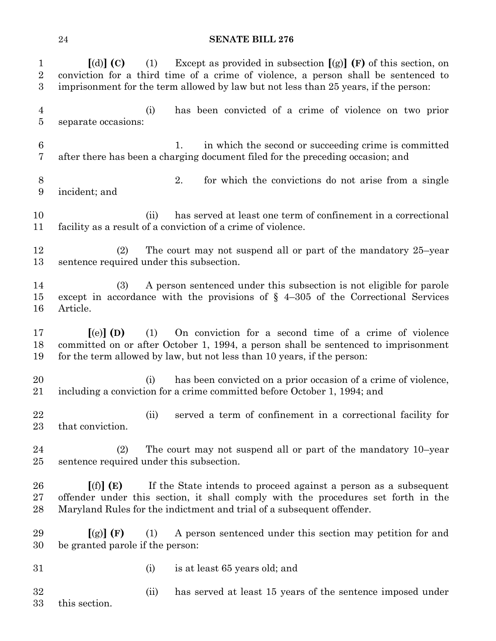| $\mathbf{1}$<br>$\overline{2}$<br>$\boldsymbol{3}$ | Except as provided in subsection $[(g)]$ (F) of this section, on<br>$\lceil$ (d) $\rceil$ (C)<br>(1)<br>conviction for a third time of a crime of violence, a person shall be sentenced to<br>imprisonment for the term allowed by law but not less than 25 years, if the person: |
|----------------------------------------------------|-----------------------------------------------------------------------------------------------------------------------------------------------------------------------------------------------------------------------------------------------------------------------------------|
| $\overline{4}$<br>5                                | has been convicted of a crime of violence on two prior<br>(i)<br>separate occasions:                                                                                                                                                                                              |
| $\,6$<br>7                                         | in which the second or succeeding crime is committed<br>1.<br>after there has been a charging document filed for the preceding occasion; and                                                                                                                                      |
| 8<br>9                                             | 2.<br>for which the convictions do not arise from a single<br>incident; and                                                                                                                                                                                                       |
| 10<br>11                                           | has served at least one term of confinement in a correctional<br>(ii)<br>facility as a result of a conviction of a crime of violence.                                                                                                                                             |
| 12<br>13                                           | The court may not suspend all or part of the mandatory 25-year<br>(2)<br>sentence required under this subsection.                                                                                                                                                                 |
| 14<br>15<br>16                                     | A person sentenced under this subsection is not eligible for parole<br>(3)<br>except in accordance with the provisions of $\S$ 4-305 of the Correctional Services<br>Article.                                                                                                     |
| 17<br>18<br>19                                     | On conviction for a second time of a crime of violence<br>$\left[$ (e) $\right]$ (D)<br>(1)<br>committed on or after October 1, 1994, a person shall be sentenced to imprisonment<br>for the term allowed by law, but not less than 10 years, if the person:                      |
| 20<br>21                                           | has been convicted on a prior occasion of a crime of violence,<br>(i)<br>including a conviction for a crime committed before October 1, 1994; and                                                                                                                                 |
| 22<br>23                                           | served a term of confinement in a correctional facility for<br>(ii)<br>that conviction.                                                                                                                                                                                           |
| 24<br>$25\,$                                       | The court may not suspend all or part of the mandatory 10–year<br>(2)<br>sentence required under this subsection.                                                                                                                                                                 |
| 26<br>$27\,$<br>28                                 | If the State intends to proceed against a person as a subsequent<br>[(f)](E)<br>offender under this section, it shall comply with the procedures set forth in the<br>Maryland Rules for the indictment and trial of a subsequent offender.                                        |
| 29<br>30                                           | A person sentenced under this section may petition for and<br>[(g)](F)<br>(1)<br>be granted parole if the person:                                                                                                                                                                 |
| 31                                                 | (i)<br>is at least 65 years old; and                                                                                                                                                                                                                                              |
| 32<br>33                                           | has served at least 15 years of the sentence imposed under<br>(ii)<br>this section.                                                                                                                                                                                               |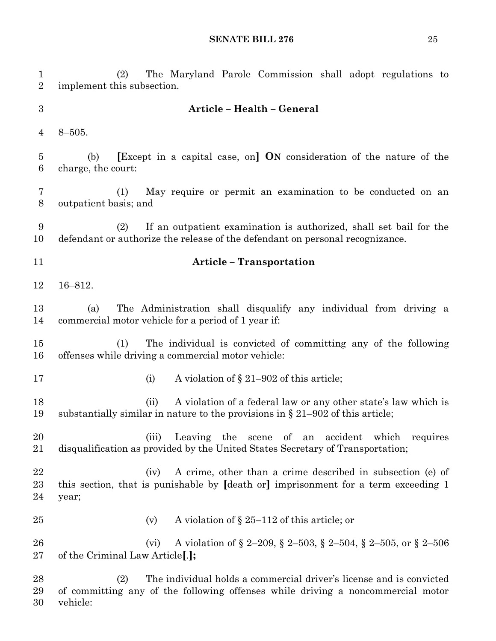| $\mathbf{1}$<br>$\sqrt{2}$ | The Maryland Parole Commission shall adopt regulations to<br>(2)<br>implement this subsection.                                                                            |
|----------------------------|---------------------------------------------------------------------------------------------------------------------------------------------------------------------------|
| $\boldsymbol{3}$           | Article - Health - General                                                                                                                                                |
| $\overline{4}$             | $8 - 505.$                                                                                                                                                                |
| $\overline{5}$<br>6        | [Except in a capital case, on] ON consideration of the nature of the<br>(b)<br>charge, the court:                                                                         |
| 7<br>8                     | May require or permit an examination to be conducted on an<br>(1)<br>outpatient basis; and                                                                                |
| 9<br>10                    | If an outpatient examination is authorized, shall set bail for the<br>(2)<br>defendant or authorize the release of the defendant on personal recognizance.                |
| 11                         | <b>Article - Transportation</b>                                                                                                                                           |
| 12                         | $16 - 812.$                                                                                                                                                               |
| 13<br>14                   | The Administration shall disqualify any individual from driving a<br>(a)<br>commercial motor vehicle for a period of 1 year if:                                           |
| 15<br>16                   | The individual is convicted of committing any of the following<br>(1)<br>offenses while driving a commercial motor vehicle:                                               |
| 17                         | A violation of $\S 21-902$ of this article;<br>(i)                                                                                                                        |
| 18<br>19                   | A violation of a federal law or any other state's law which is<br>(ii)<br>substantially similar in nature to the provisions in $\S 21-902$ of this article;               |
| 20<br>21                   | (iii)<br>Leaving the scene of an accident which requires<br>disqualification as provided by the United States Secretary of Transportation;                                |
| 22<br>23<br>24             | A crime, other than a crime described in subsection (e) of<br>(iv)<br>this section, that is punishable by [death or] imprisonment for a term exceeding 1<br>year;         |
| 25                         | A violation of $\S 25-112$ of this article; or<br>(v)                                                                                                                     |
| 26<br>27                   | A violation of § 2–209, § 2–503, § 2–504, § 2–505, or § 2–506<br>(vi)<br>of the Criminal Law Article <sup>[.]</sup> ;                                                     |
| 28<br>29<br>30             | The individual holds a commercial driver's license and is convicted<br>(2)<br>of committing any of the following offenses while driving a noncommercial motor<br>vehicle: |